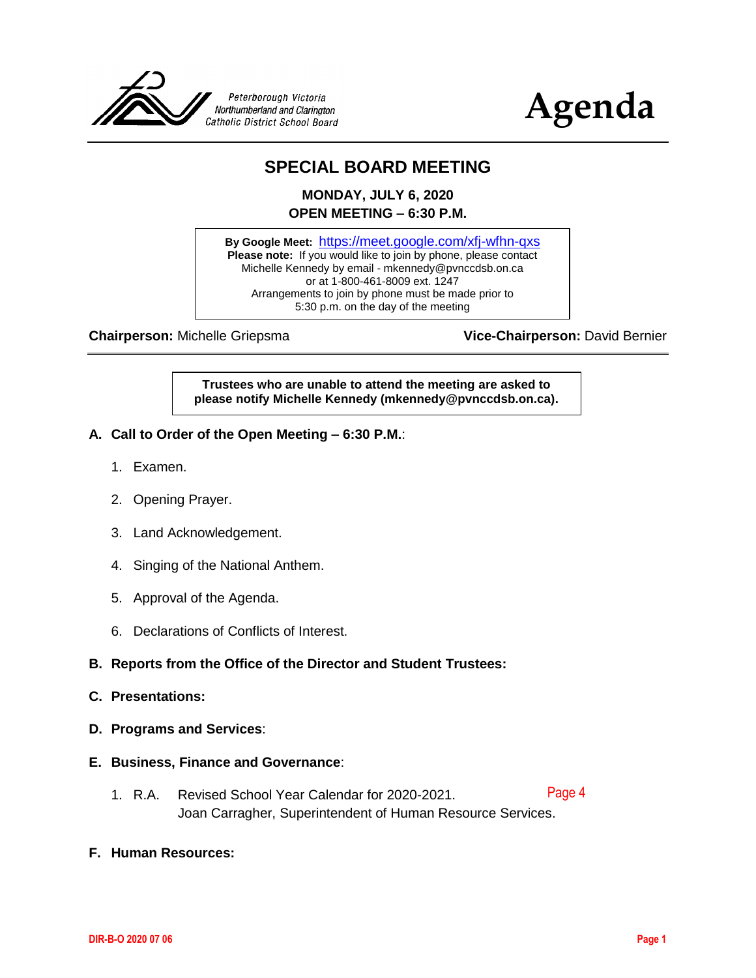



### **SPECIAL BOARD MEETING**

**MONDAY, JULY 6, 2020 OPEN MEETING – 6:30 P.M.**

**By Google Meet:** <https://meet.google.com/xfj-wfhn-qxs> Please note: If you would like to join by phone, please contact Michelle Kennedy by email - mkennedy@pvnccdsb.on.ca or at 1-800-461-8009 ext. 1247 Arrangements to join by phone must be made prior to 5:30 p.m. on the day of the meeting

**Chairperson:** Michelle Griepsma **Vice-Chairperson:** David Bernier

**Trustees who are unable to attend the meeting are asked to please notify Michelle Kennedy (mkennedy@pvnccdsb.on.ca).**

- **A. Call to Order of the Open Meeting – 6:30 P.M.**:
	- 1. Examen.
	- 2. Opening Prayer.
	- 3. Land Acknowledgement.
	- 4. Singing of the National Anthem.
	- 5. Approval of the Agenda.
	- 6. Declarations of Conflicts of Interest.

#### **B. Reports from the Office of the Director and Student Trustees:**

- **C. Presentations:**
- **D. Programs and Services**:
- **E. Business, Finance and Governance**:
	- 1. R.A. Revised School Year Calendar for 2020-2021. Joan Carragher, Superintendent of Human Resource Services. [Page 4](#page-3-0)
- **F. Human Resources:**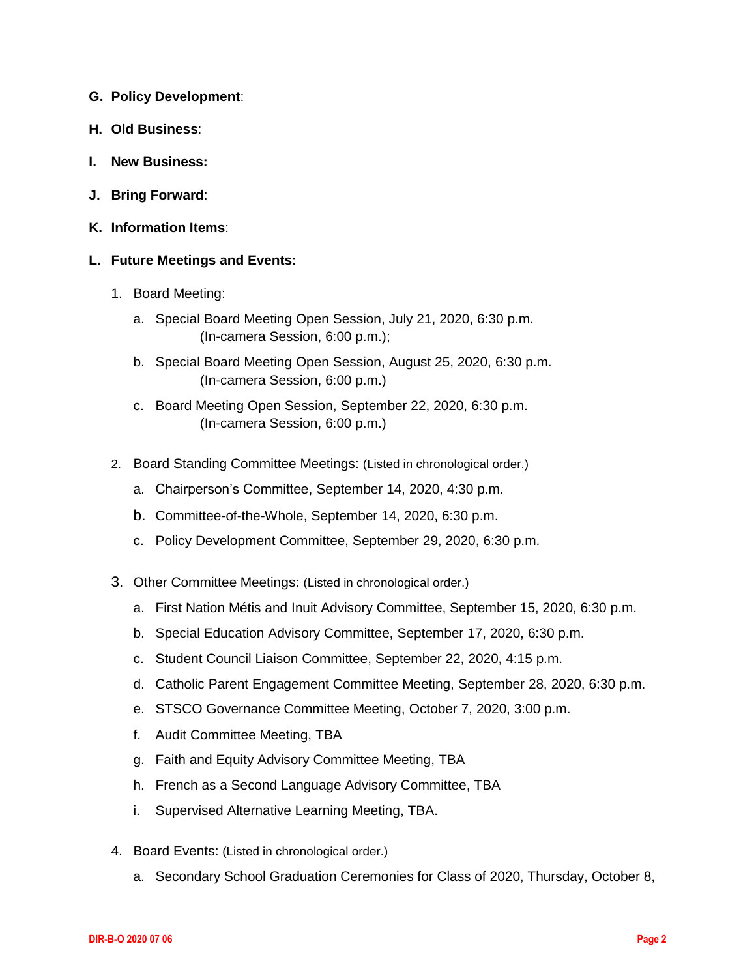- **G. Policy Development**:
- **H. Old Business**:
- **I. New Business:**
- **J. Bring Forward**:
- **K. Information Items**:
- **L. Future Meetings and Events:**
	- 1. Board Meeting:
		- a. Special Board Meeting Open Session, July 21, 2020, 6:30 p.m. (In-camera Session, 6:00 p.m.);
		- b. Special Board Meeting Open Session, August 25, 2020, 6:30 p.m. (In-camera Session, 6:00 p.m.)
		- c. Board Meeting Open Session, September 22, 2020, 6:30 p.m. (In-camera Session, 6:00 p.m.)
	- 2. Board Standing Committee Meetings: (Listed in chronological order.)
		- a. Chairperson's Committee, September 14, 2020, 4:30 p.m.
		- b. Committee-of-the-Whole, September 14, 2020, 6:30 p.m.
		- c. Policy Development Committee, September 29, 2020, 6:30 p.m.
	- 3. Other Committee Meetings: (Listed in chronological order.)
		- a. First Nation Métis and Inuit Advisory Committee, September 15, 2020, 6:30 p.m.
		- b. Special Education Advisory Committee, September 17, 2020, 6:30 p.m.
		- c. Student Council Liaison Committee, September 22, 2020, 4:15 p.m.
		- d. Catholic Parent Engagement Committee Meeting, September 28, 2020, 6:30 p.m.
		- e. STSCO Governance Committee Meeting, October 7, 2020, 3:00 p.m.
		- f. Audit Committee Meeting, TBA
		- g. Faith and Equity Advisory Committee Meeting, TBA
		- h. French as a Second Language Advisory Committee, TBA
		- i. Supervised Alternative Learning Meeting, TBA.
	- 4. Board Events: (Listed in chronological order.)
		- a. Secondary School Graduation Ceremonies for Class of 2020, Thursday, October 8,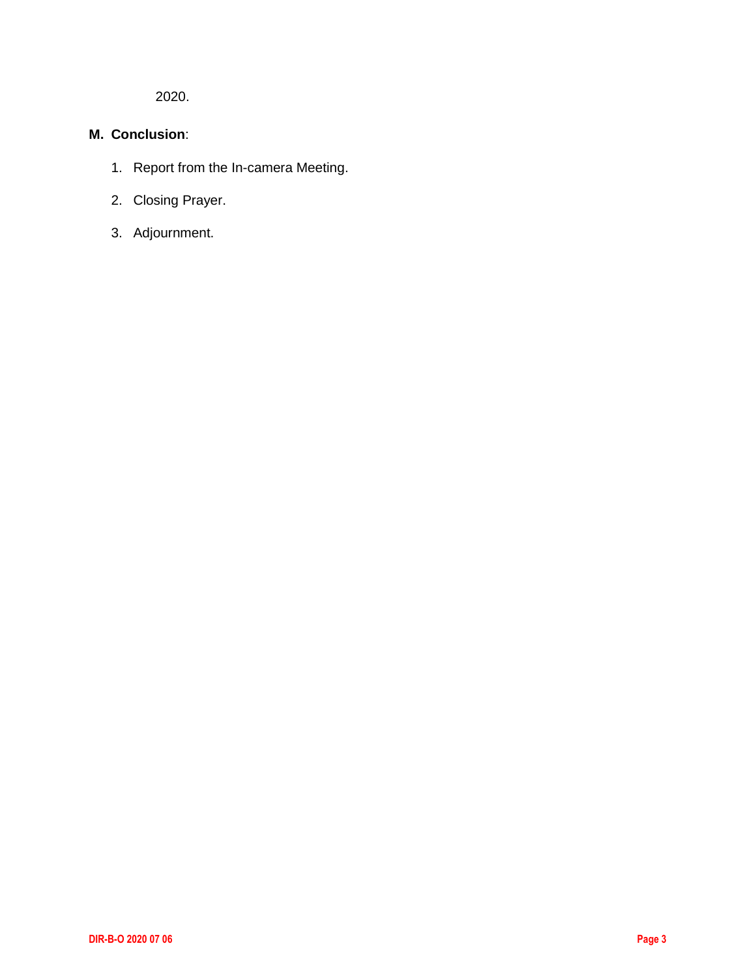2020.

#### **M. Conclusion**:

- 1. Report from the In-camera Meeting.
- 2. Closing Prayer.
- 3. Adjournment.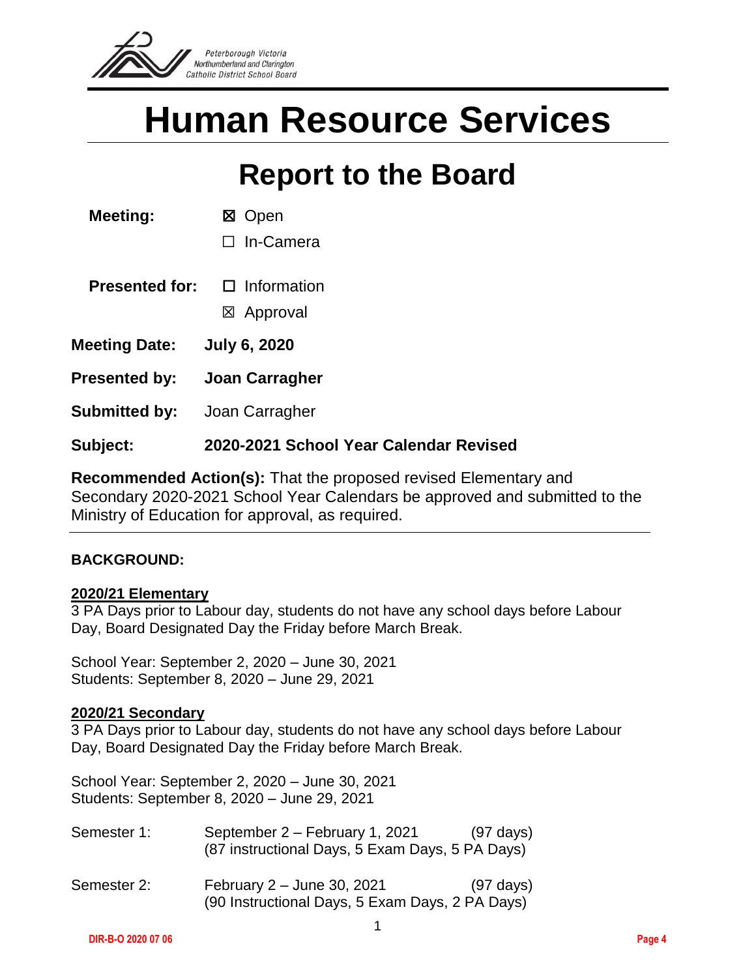<span id="page-3-0"></span>

# **Human Resource Services**

### **Report to the Board**

☐ In-Camera

**Presented for:** □ Information

☒ Approval

**Meeting Date: July 6, 2020**

**Presented by: Joan Carragher**

**Submitted by:** Joan Carragher

#### **Subject: 2020-2021 School Year Calendar Revised**

**Recommended Action(s):** That the proposed revised Elementary and Secondary 2020-2021 School Year Calendars be approved and submitted to the Ministry of Education for approval, as required.

#### **BACKGROUND:**

#### **2020/21 Elementary**

3 PA Days prior to Labour day, students do not have any school days before Labour Day, Board Designated Day the Friday before March Break.

School Year: September 2, 2020 – June 30, 2021 Students: September 8, 2020 – June 29, 2021

#### **2020/21 Secondary**

3 PA Days prior to Labour day, students do not have any school days before Labour Day, Board Designated Day the Friday before March Break.

School Year: September 2, 2020 – June 30, 2021 Students: September 8, 2020 – June 29, 2021

| Semester 1: | September 2 – February 1, 2021<br>(87 instructional Days, 5 Exam Days, 5 PA Days) | $(97 \text{ days})$ |
|-------------|-----------------------------------------------------------------------------------|---------------------|
| Semester 2: | February 2 – June 30, 2021<br>(90 Instructional Days, 5 Exam Days, 2 PA Days)     | $(97 \text{ days})$ |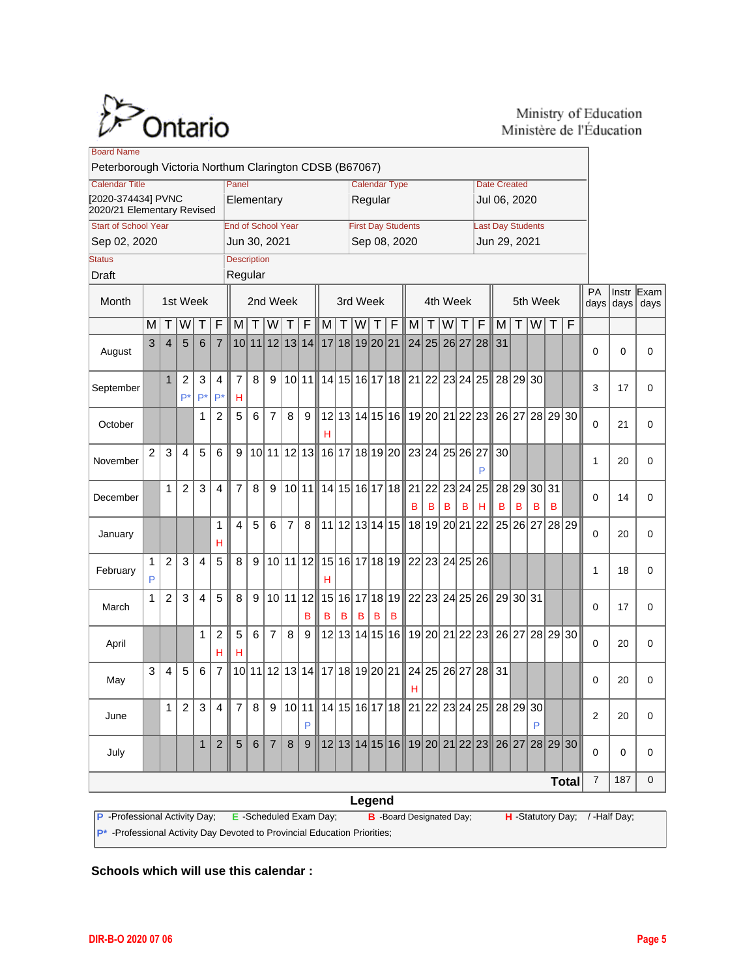

#### Ministry of Education Ministère de l'Éducation

| <b>Board Name</b>                                                                                                        |                                                                         |                |                      |                |                     |                |         |                |                |               |                                 |          |                           |   |   |                                                         |       |                                     |              |                |                                                                                 |                  |                   |   |                           |          |    |          |
|--------------------------------------------------------------------------------------------------------------------------|-------------------------------------------------------------------------|----------------|----------------------|----------------|---------------------|----------------|---------|----------------|----------------|---------------|---------------------------------|----------|---------------------------|---|---|---------------------------------------------------------|-------|-------------------------------------|--------------|----------------|---------------------------------------------------------------------------------|------------------|-------------------|---|---------------------------|----------|----|----------|
| Peterborough Victoria Northum Clarington CDSB (B67067)                                                                   |                                                                         |                |                      |                |                     |                |         |                |                |               |                                 |          |                           |   |   |                                                         |       |                                     |              |                |                                                                                 |                  |                   |   |                           |          |    |          |
| <b>Calendar Title</b>                                                                                                    | Panel<br>[2020-374434] PVNC<br>Elementary<br>2020/21 Elementary Revised |                |                      |                |                     |                |         |                |                |               | <b>Calendar Type</b><br>Regular |          |                           |   |   |                                                         |       | <b>Date Created</b><br>Jul 06, 2020 |              |                |                                                                                 |                  |                   |   |                           |          |    |          |
| <b>Start of School Year</b><br><b>End of School Year</b>                                                                 |                                                                         |                |                      |                |                     |                |         |                |                |               |                                 |          | <b>First Day Students</b> |   |   |                                                         |       | <b>Last Day Students</b>            |              |                |                                                                                 |                  |                   |   |                           |          |    |          |
| Sep 02, 2020<br>Jun 30, 2021                                                                                             |                                                                         |                |                      |                |                     |                |         |                |                |               |                                 |          | Sep 08, 2020              |   |   |                                                         |       |                                     | Jun 29, 2021 |                |                                                                                 |                  |                   |   |                           |          |    |          |
| <b>Description</b><br><b>Status</b>                                                                                      |                                                                         |                |                      |                |                     |                |         |                |                |               |                                 |          |                           |   |   |                                                         |       |                                     |              |                |                                                                                 |                  |                   |   |                           |          |    |          |
| Regular<br><b>Draft</b>                                                                                                  |                                                                         |                |                      |                |                     |                |         |                |                |               |                                 |          |                           |   |   |                                                         |       |                                     |              |                |                                                                                 |                  |                   |   |                           |          |    |          |
| Month                                                                                                                    |                                                                         |                | 1st Week             |                | 2nd Week            |                |         |                |                |               | 3rd Week                        |          |                           |   |   |                                                         |       | 4th Week                            |              |                |                                                                                 | 5th Week         | <b>PA</b><br>days |   | $Instr$ Exam<br>days days |          |    |          |
|                                                                                                                          | M                                                                       | Τ              | W                    | Τ              | $\overline{F}$      | M              | $\top$  | W              | Т              | F             | $M \vert$                       | $T \mid$ | W                         | Τ | F | M                                                       | Τ     | W                                   | T            | $\overline{F}$ | M                                                                               | Τ                | $W$ T             |   | F                         |          |    |          |
| August                                                                                                                   | 3                                                                       | $\overline{4}$ | 5                    | 6              | $\overline{7}$      |                |         | 10 11 12 13 14 |                |               | 17 18 19 20 21                  |          |                           |   |   |                                                         | 24 25 |                                     |              | 26 27 28       | 31                                                                              |                  |                   |   |                           | 0        | 0  | 0        |
| September                                                                                                                |                                                                         | $\mathbf{1}$   | $\overline{c}$<br>P* | 3<br>$P^*$     | 4<br>P*             | 7<br>н         | 8       | 9              |                | 10 11         |                                 |          |                           |   |   | 14 15 16 17 18 21 22 23 24 25                           |       |                                     |              |                |                                                                                 | 28 29 30         |                   |   |                           | 3        | 17 | 0        |
| October                                                                                                                  |                                                                         |                |                      | 1              | $\overline{2}$      | 5              | 6       | $\overline{7}$ | 8              | 9             | н                               |          |                           |   |   |                                                         |       |                                     |              |                | 12 13 14 15 16 19 20 21 22 23 26 27 28 29 30                                    |                  |                   |   |                           | $\Omega$ | 21 | 0        |
| November                                                                                                                 | $\overline{2}$                                                          | 3              | $\overline{4}$       | 5              | 6                   | 9              |         |                |                | 10 11 12 13   |                                 |          |                           |   |   | 16   17   18   19   20    23   24   25   26   27        |       |                                     |              | P              | 30 <sup>2</sup>                                                                 |                  |                   |   |                           | 1        | 20 | 0        |
| December                                                                                                                 |                                                                         | $\mathbf{1}$   | $\overline{2}$       | 3              | $\overline{4}$      | $\overline{7}$ | 8       | 9              |                | 10 11         |                                 |          |                           |   |   | 14   15   16   17   18    21   22   23   24   25  <br>в | в     | в                                   | в            | н              | в                                                                               | 28 29 30 31<br>в | в                 | в |                           | $\Omega$ | 14 | $\Omega$ |
| January                                                                                                                  |                                                                         |                |                      |                | 1<br>н              | $\overline{4}$ | 5       | 6              | $\overline{7}$ | 8             |                                 |          |                           |   |   | 11 12 13 14 15 18 19 20 21 22                           |       |                                     |              |                |                                                                                 | 25 26 27 28 29   |                   |   |                           | $\Omega$ | 20 | 0        |
| February                                                                                                                 | 1<br>P                                                                  | $\overline{2}$ | 3                    | $\overline{4}$ | 5                   | 8              | 9       |                |                | 10 11 12      | н                               |          |                           |   |   | 15   16   17   18   19    22   23   24   25   26        |       |                                     |              |                |                                                                                 |                  |                   |   |                           | 1        | 18 | 0        |
| March                                                                                                                    | 1                                                                       | $\overline{2}$ | 3                    | $\overline{4}$ | 5                   | 8              | 9       |                |                | 10 11 12<br>в | в                               | в        | в                         | в | в |                                                         |       |                                     |              |                | 15   16   17   18   19    22   23   24   25   26    29   30   31                |                  |                   |   |                           | $\Omega$ | 17 | 0        |
| April                                                                                                                    |                                                                         |                |                      | 1              | $\overline{2}$<br>н | 5<br>н         | 6       | $\overline{7}$ | 8              | 9             |                                 |          |                           |   |   |                                                         |       |                                     |              |                | 12 13 14 15 16 19 20 21 22 23 26 27 28 29 30                                    |                  |                   |   |                           | $\Omega$ | 20 | $\Omega$ |
| May                                                                                                                      | 3                                                                       | $\overline{4}$ | 5                    | 6              | $\overline{7}$      |                |         |                |                |               | 10 11 12 13 14 17 18 19 20 21   |          |                           |   |   | н                                                       |       |                                     |              | 24 25 26 27 28 | 31                                                                              |                  |                   |   |                           | 0        | 20 | 0        |
| June                                                                                                                     |                                                                         | 1              | 2 <sup>1</sup>       | 3              | 4 ∥                 | 7 I            | 8       |                |                | P             |                                 |          |                           |   |   |                                                         |       |                                     |              |                | 9   10   11    14   15   16   17   18    21   22   23   24   25    28   29   30 |                  | P                 |   |                           | 2        | 20 | 0        |
| July                                                                                                                     |                                                                         |                |                      | $\mathbf{1}$   | $2^{\circ}$         | $\overline{5}$ | $\,6\,$ | 7 <sup>1</sup> | $\bf 8$        | 9             |                                 |          |                           |   |   |                                                         |       |                                     |              |                | 12 13 14 15 16 19 20 21 22 23 26 27 28 29 30                                    |                  |                   |   |                           | $\Omega$ | 0  | 0        |
| <b>Total</b>                                                                                                             |                                                                         |                |                      |                |                     |                |         |                |                | 7             | 187                             | 0        |                           |   |   |                                                         |       |                                     |              |                |                                                                                 |                  |                   |   |                           |          |    |          |
| Legend                                                                                                                   |                                                                         |                |                      |                |                     |                |         |                |                |               |                                 |          |                           |   |   |                                                         |       |                                     |              |                |                                                                                 |                  |                   |   |                           |          |    |          |
| P -Professional Activity Day; E -Scheduled Exam Day;<br>H -Statutory Day; /-Half Day;<br><b>B</b> -Board Designated Day; |                                                                         |                |                      |                |                     |                |         |                |                |               |                                 |          |                           |   |   |                                                         |       |                                     |              |                |                                                                                 |                  |                   |   |                           |          |    |          |

**P\*** -Professional Activity Day Devoted to Provincial Education Priorities;

**Schools which will use this calendar :**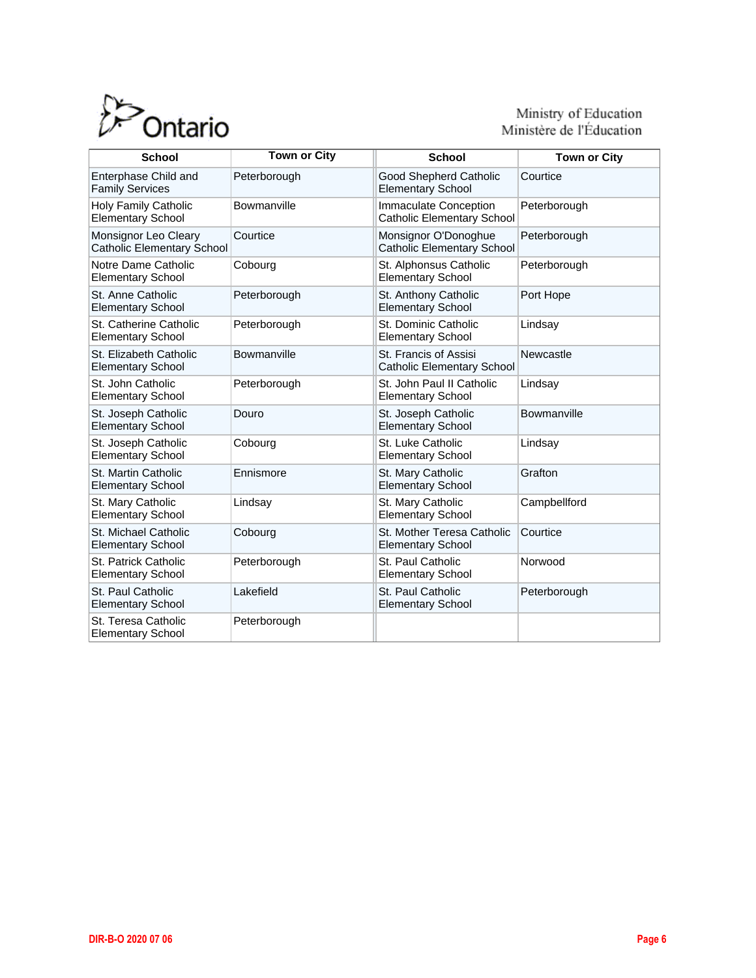

# Ministry of Education<br>Ministère de l'Éducation

| <b>School</b>                                             | <b>Town or City</b> | <b>School</b>                                                     | <b>Town or City</b> |  |  |  |  |
|-----------------------------------------------------------|---------------------|-------------------------------------------------------------------|---------------------|--|--|--|--|
| Enterphase Child and<br><b>Family Services</b>            | Peterborough        | <b>Good Shepherd Catholic</b><br><b>Elementary School</b>         | Courtice            |  |  |  |  |
| Holy Family Catholic<br><b>Elementary School</b>          | Bowmanville         | <b>Immaculate Conception</b><br><b>Catholic Elementary School</b> | Peterborough        |  |  |  |  |
| Monsignor Leo Cleary<br><b>Catholic Elementary School</b> | Courtice            | Monsignor O'Donoghue<br><b>Catholic Elementary School</b>         | Peterborough        |  |  |  |  |
| Notre Dame Catholic<br><b>Elementary School</b>           | Cobourg             | St. Alphonsus Catholic<br><b>Elementary School</b>                | Peterborough        |  |  |  |  |
| St. Anne Catholic<br><b>Elementary School</b>             | Peterborough        | St. Anthony Catholic<br><b>Elementary School</b>                  | Port Hope           |  |  |  |  |
| St. Catherine Catholic<br><b>Elementary School</b>        | Peterborough        | St. Dominic Catholic<br><b>Elementary School</b>                  | Lindsay             |  |  |  |  |
| St. Elizabeth Catholic<br><b>Elementary School</b>        | Bowmanville         | St. Francis of Assisi<br><b>Catholic Elementary School</b>        | Newcastle           |  |  |  |  |
| St. John Catholic<br><b>Elementary School</b>             | Peterborough        | St. John Paul II Catholic<br><b>Elementary School</b>             | Lindsay             |  |  |  |  |
| St. Joseph Catholic<br><b>Elementary School</b>           | Douro               | St. Joseph Catholic<br><b>Elementary School</b>                   | Bowmanville         |  |  |  |  |
| St. Joseph Catholic<br><b>Elementary School</b>           | Cobourg             | St. Luke Catholic<br><b>Elementary School</b>                     | Lindsay             |  |  |  |  |
| St. Martin Catholic<br><b>Elementary School</b>           | Ennismore           | St. Mary Catholic<br><b>Elementary School</b>                     | Grafton             |  |  |  |  |
| St. Mary Catholic<br><b>Elementary School</b>             | Lindsay             | St. Mary Catholic<br><b>Elementary School</b>                     | Campbellford        |  |  |  |  |
| St. Michael Catholic<br><b>Elementary School</b>          | Cobourg             | St. Mother Teresa Catholic<br><b>Elementary School</b>            | Courtice            |  |  |  |  |
| St. Patrick Catholic<br><b>Elementary School</b>          | Peterborough        | St. Paul Catholic<br><b>Elementary School</b>                     | Norwood             |  |  |  |  |
| St. Paul Catholic<br><b>Elementary School</b>             | Lakefield           | St. Paul Catholic<br><b>Elementary School</b>                     | Peterborough        |  |  |  |  |
| St. Teresa Catholic<br><b>Elementary School</b>           | Peterborough        |                                                                   |                     |  |  |  |  |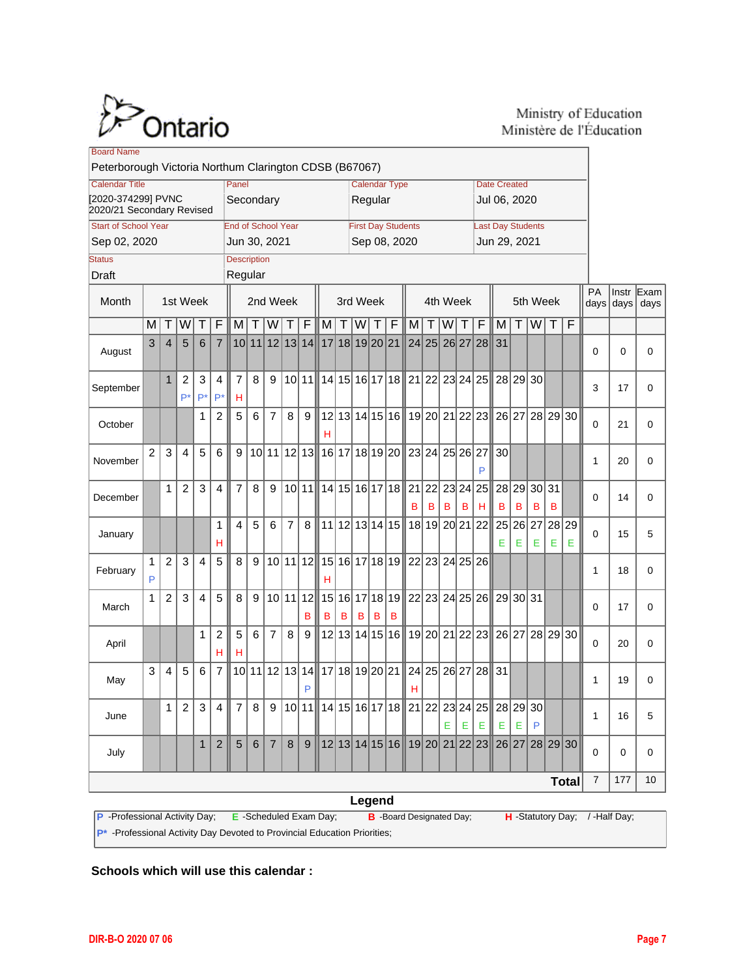

#### Ministry of Education Ministère de l'Éducation

| <b>Board Name</b><br>Peterborough Victoria Northum Clarington CDSB (B67067)                                                  |                                                              |                |                      |                |                     |                |                 |                |                |               |                |                           |   |   |                |                                                         |       |                          |              |                     |                                                                                        |                                |            |   |                     |          |    |          |
|------------------------------------------------------------------------------------------------------------------------------|--------------------------------------------------------------|----------------|----------------------|----------------|---------------------|----------------|-----------------|----------------|----------------|---------------|----------------|---------------------------|---|---|----------------|---------------------------------------------------------|-------|--------------------------|--------------|---------------------|----------------------------------------------------------------------------------------|--------------------------------|------------|---|---------------------|----------|----|----------|
|                                                                                                                              |                                                              |                |                      |                |                     |                |                 |                |                |               |                |                           |   |   |                |                                                         |       |                          |              |                     |                                                                                        |                                |            |   |                     |          |    |          |
| <b>Calendar Title</b>                                                                                                        | Panel                                                        |                |                      |                |                     |                |                 |                |                |               |                | <b>Calendar Type</b>      |   |   |                |                                                         |       |                          |              | <b>Date Created</b> |                                                                                        |                                |            |   |                     |          |    |          |
|                                                                                                                              | [2020-374299] PVNC<br>Secondary<br>2020/21 Secondary Revised |                |                      |                |                     |                |                 |                |                |               | Regular        |                           |   |   |                |                                                         |       |                          | Jul 06, 2020 |                     |                                                                                        |                                |            |   |                     |          |    |          |
| <b>Start of School Year</b><br><b>End of School Year</b>                                                                     |                                                              |                |                      |                |                     |                |                 |                |                |               |                | <b>First Day Students</b> |   |   |                |                                                         |       | <b>Last Day Students</b> |              |                     |                                                                                        |                                |            |   |                     |          |    |          |
| Sep 08, 2020<br>Sep 02, 2020<br>Jun 30, 2021<br>Jun 29, 2021                                                                 |                                                              |                |                      |                |                     |                |                 |                |                |               |                |                           |   |   |                |                                                         |       |                          |              |                     |                                                                                        |                                |            |   |                     |          |    |          |
| <b>Description</b><br><b>Status</b>                                                                                          |                                                              |                |                      |                |                     |                |                 |                |                |               |                |                           |   |   |                |                                                         |       |                          |              |                     |                                                                                        |                                |            |   |                     |          |    |          |
| Regular<br><b>Draft</b>                                                                                                      |                                                              |                |                      |                |                     |                |                 |                |                |               |                |                           |   |   |                |                                                         |       |                          |              |                     |                                                                                        |                                |            |   |                     |          |    |          |
| Month                                                                                                                        | 2nd Week<br>1st Week                                         |                |                      |                |                     |                |                 | 3rd Week       |                |               |                |                           |   |   | 4th Week       |                                                         |       |                          | 5th Week     | PA                  |                                                                                        | $Instr$ Exam<br>days days days |            |   |                     |          |    |          |
|                                                                                                                              | M                                                            | Τ              | W                    |                | F                   | M              | $\mathsf T$     | W              | Т              | F             | M              | ΤI                        | W | Т | F              | M                                                       | Τ     | W                        | T            | F                   | M                                                                                      | $\top$                         | $W$ T      |   | F                   |          |    |          |
| August                                                                                                                       | 3                                                            | $\overline{4}$ | 5                    | 6              | $\overline{7}$      |                |                 | 10 11 12 13 14 |                |               | 17 18 19 20 21 |                           |   |   |                |                                                         | 24 25 |                          | 26 27 28     |                     | 31                                                                                     |                                |            |   |                     | 0        | 0  | 0        |
| September                                                                                                                    |                                                              | $\mathbf{1}$   | $\overline{2}$<br>P* | 3<br>$P^*$     | 4<br>$P^*$          | 7<br>н         | 8               | 9              |                | 10 11         |                |                           |   |   |                | 14 15 16 17 18 21 22 23 24 25                           |       |                          |              |                     |                                                                                        | 28 29 30                       |            |   |                     | 3        | 17 | 0        |
| October                                                                                                                      |                                                              |                |                      | 1              | $\overline{2}$      | 5              | 6               | $\overline{7}$ | 8              | 9             | н              |                           |   |   |                | 12 13 14 15 16 19 20 21 22 23                           |       |                          |              |                     |                                                                                        |                                |            |   | 26 27 28 29 30      | $\Omega$ | 21 | 0        |
| November                                                                                                                     | $\overline{2}$                                               | 3              | $\overline{4}$       | 5              | 6                   | 9              |                 | 10 11 12 13    |                |               |                |                           |   |   |                | 16   17   18   19   20    23   24   25   26   27        |       |                          |              | P                   | 30 <sup>2</sup>                                                                        |                                |            |   |                     | 1        | 20 | 0        |
| December                                                                                                                     |                                                              | $\mathbf{1}$   | $\overline{2}$       | 3              | $\overline{4}$      | $\overline{7}$ | 8               | 9              |                | 10 11         |                |                           |   |   |                | 14   15   16   17   18    21   22   23   24   25  <br>в | в     | В                        | в            | н                   | в                                                                                      | 28 29<br>B                     | 30 31<br>в | в |                     | $\Omega$ | 14 | $\Omega$ |
| January                                                                                                                      |                                                              |                |                      |                | 1<br>н              | $\overline{4}$ | 5               | 6              | $\overline{7}$ | 8             |                |                           |   |   |                | 11 12 13 14 15 18 19 20 21 22                           |       |                          |              |                     | Е                                                                                      | Е                              | Е          | Е | 25 26 27 28 29<br>Е | $\Omega$ | 15 | 5        |
| February                                                                                                                     | 1<br>P                                                       | $\overline{2}$ | 3                    | 4              | 5                   | 8              | 9               |                |                | 10 11 12      | н              |                           |   |   |                | 15   16   17   18   19    22   23   24   25   26        |       |                          |              |                     |                                                                                        |                                |            |   |                     | 1        | 18 | 0        |
| March                                                                                                                        | 1                                                            | $\overline{2}$ | 3                    | $\overline{4}$ | 5                   | 8              | 9               |                |                | 10 11 12<br>в | в              | в                         | в | в | в              |                                                         |       |                          |              |                     | 15 16 17 18 19 22 23 24 25 26 29 30 31                                                 |                                |            |   |                     | $\Omega$ | 17 | 0        |
| April                                                                                                                        |                                                              |                |                      | 1              | $\overline{2}$<br>н | 5<br>н         | 6               | $\overline{7}$ | 8              | 9             |                |                           |   |   |                | 12 13 14 15 16 19 20 21 22 23                           |       |                          |              |                     |                                                                                        |                                |            |   | 26 27 28 29 30      | $\Omega$ | 20 | 0        |
| May                                                                                                                          | 3                                                            | 4              | 5                    | 6              | $\overline{7}$      |                | 10 11           |                |                | 12 13 14<br>P |                |                           |   |   | 17 18 19 20 21 | н                                                       | 24 25 |                          |              | 26 27 28            | 31                                                                                     |                                |            |   |                     | 1        | 19 | 0        |
| June                                                                                                                         |                                                              | 1.             | 2                    | 3              | 4 II                | 7 I            | 8               |                |                |               |                |                           |   |   |                |                                                         |       | E                        | E.           | Е                   | 9   10   11    14   15   16   17   18    21   22   23   24   25    28   29   30  <br>E | Е                              | P          |   |                     | 1        | 16 | 5        |
| July                                                                                                                         |                                                              |                |                      | $\mathbf{1}$   | 2                   | 5              | $6\phantom{1}6$ | 7 <sup>1</sup> | 8              | 9             |                |                           |   |   |                |                                                         |       |                          |              |                     | 12 13 14 15 16 19 20 21 22 23 26 27 28 29 30                                           |                                |            |   |                     | $\Omega$ | 0  | 0        |
| <b>Total</b>                                                                                                                 |                                                              |                |                      |                |                     |                |                 |                | 7              | 177           | 10             |                           |   |   |                |                                                         |       |                          |              |                     |                                                                                        |                                |            |   |                     |          |    |          |
| Legend                                                                                                                       |                                                              |                |                      |                |                     |                |                 |                |                |               |                |                           |   |   |                |                                                         |       |                          |              |                     |                                                                                        |                                |            |   |                     |          |    |          |
| P - Professional Activity Day;<br>H -Statutory Day; /-Half Day;<br>E -Scheduled Exam Day;<br><b>B</b> -Board Designated Day; |                                                              |                |                      |                |                     |                |                 |                |                |               |                |                           |   |   |                |                                                         |       |                          |              |                     |                                                                                        |                                |            |   |                     |          |    |          |

**P<sup>\*</sup>** -Professional Activity Day Devoted to Provincial Education Priorities;

**Schools which will use this calendar :**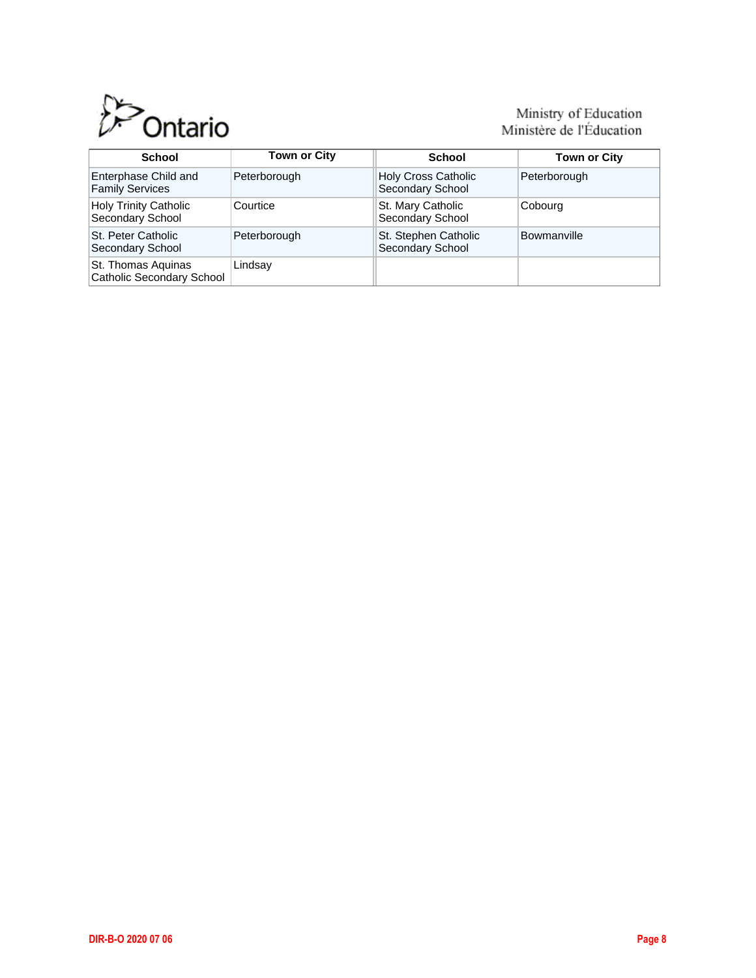

# Ministry of Education<br>Ministère de l'Éducation

| School                                           | <b>Town or City</b> | School                                         | <b>Town or City</b> |  |  |  |  |
|--------------------------------------------------|---------------------|------------------------------------------------|---------------------|--|--|--|--|
| Enterphase Child and<br><b>Family Services</b>   | Peterborough        | <b>Holy Cross Catholic</b><br>Secondary School | Peterborough        |  |  |  |  |
| <b>Holy Trinity Catholic</b><br>Secondary School | Courtice            | St. Mary Catholic<br>Secondary School          | Cobourg             |  |  |  |  |
| St. Peter Catholic<br>Secondary School           | Peterborough        | St. Stephen Catholic<br>Secondary School       | <b>Bowmanville</b>  |  |  |  |  |
| St. Thomas Aquinas<br>Catholic Secondary School  | Lindsay             |                                                |                     |  |  |  |  |